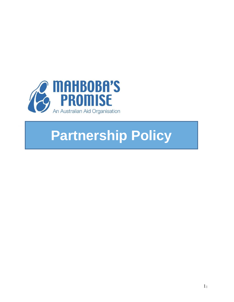

# **Partnership Policy**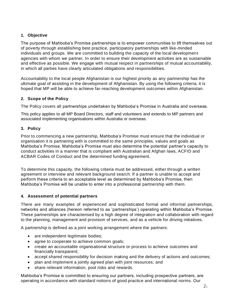# **1. Objective**

The purpose of Mahboba's Promise partnerships is to empower communities to lift themselves out of poverty through establishing best practice, participatory partnerships with like-minded individuals and groups. We are committed to building the capacity of the local development agencies with whom we partner. In order to ensure their development activities are as sustainable and effective as possible. We engage with mutual respect in partnerships of mutual accountability, in which all parties have clearly articulated obligations and responsibilities.

Accountability to the local people Afghanistan is our highest priority as any partnership has the ultimate goal of assisting in the development of Afghanistan. By using the following criteria, it is hoped that MP will be able to achieve far-reaching development outcomes within Afghanistan.

# **2. Scope of the Policy**

The Policy covers all partnerships undertaken by Mahboba's Promise in Australia and overseas.

This policy applies to all MP Board Directors, staff and volunteers and extends to MP partners and associated implementing organisations within Australia or overseas.

# **3. Policy**

Prior to commencing a new partnership, Mahboba's Promise must ensure that the individual or organisation it is partnering with is committed to the same principles, values and goals as Mahboba's Promise. Mahboba's Promise must also determine the potential partner's capacity to conduct activities in a manner that is compliant with Australian and Afghan laws, ACFID and ACBAR Codes of Conduct and the determined funding agreement.

To determine this capacity, the following criteria must be addressed, either through a written agreement or interview and relevant background search. If a partner is unable to accept and perform these criteria to an acceptable level as determined by Mahboba's Promise, then Mahboba's Promise will be unable to enter into a professional partnership with them.

## **4. Assessment of potential partners**

There are many examples of experienced and sophisticated formal and informal partnerships, networks and alliances (hereon referred to as 'partnerships') operating within Mahboba's Promise. These partnerships are characterised by a high degree of integration and collaboration with regard to the planning, management and provision of services, and as a vehicle for driving initiatives.

A partnership is defined as a joint working arrangement where the partners:

- are independent legitimate bodies;
- agree to cooperate to achieve common goals;
- create an accountable organisational structure or process to achieve outcomes and financially transparent;
- accept shared responsibility for decision making and the delivery of actions and outcomes;
- plan and implement a jointly agreed plan with joint resources; and
- share relevant information, pool risks and rewards.

Mahboba's Promise is committed to ensuring our partners, including prospective partners, are operating in accordance with standard notions of good practice and international norms. Our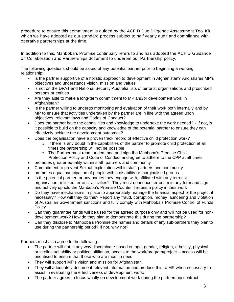procedure to ensure this commitment is guided by the ACFID Due Diligence Assessment Tool Kit which we have adopted as our standard process subject to half yearly audit and compliance with operative partnerships at the time.

In addition to this, Mahboba's Promise continually refers to and has adopted the ACFID Guidance on Collaboration and Partnerships document to underpin our Partnership policy.

The following questions should be asked of any potential partner prior to beginning a working relationship:

- Is the partner supportive of a holistic approach to development in Afghanistan? And shares MP's objectives and understands vision, mission and values
- is not on the DFAT and National Security Australia lists of terrorist organisations and proscribed persons or entities
- Are they able to make a long-term commitment to MP and/or development work in Afghanistan?
- Is the partner willing to undergo monitoring and evaluation of their work both internally and by MP to ensure that activities undertaken by the partner are in line with the agreed upon objectives, relevant laws and Codes of Conduct?
- Does the partner have the capabilities and knowledge to undertake the work needed? If not, is it possible to build on the capacity and knowledge of the potential partner to ensure they can effectively achieve the development outcomes?
- Does the organisation have a proven track record of effective child protection work?
	- $\circ$  If there is any doubt in the capabilities of the partner to promote child protection at all times the partnership will not be possible
	- o The Partner must read, understand and sign the Mahboba's Promise Child Protection Policy and Code of Conduct and agree to adhere to the CPP at all times.
- promotes greater equality within staff, partners and community
- Commitment to prevent Sexual exploitation within staff, partners and community
- promotes equal participation of people with a disability or marginalised groups
- Is the potential partner, or any parties they engage with, affiliated with any terrorist organisation or linked terrorist activities? -They must denounce terrorism in any form and sign and actively uphold the Mahboba's Promise Counter Terrorism policy in their work
- Do they have mechanisms in place to appropriately manage the financial aspect of the project if necessary? How will they do this? Report any fraud, corruption, money laundering and violation of Australian Government sanctions and fully comply with Mahboba's Promise Control of Funds Policy
- Can they guarantee funds will be used for the agreed purpose only and will not be used for nondevelopment work? How do they plan to demonstrate this during the partnership?
- Can they disclose to Mahboba's Promise the names and details of any sub-partners they plan to use during the partnership period? If not, why not?

Partners must also agree to the following:

- The partner will not in any way discriminate based on age, gender, religion, ethnicity, physical or intellectual ability or political affiliation, access to the work/program/project – access will be prioritised to ensure that those who are most in need.
- They will support MP's vision and mission for Afghanistan.
- They will adequately document relevant information and produce this to MP when necessary to assist in evaluating the effectiveness of development work.
- The partner agrees to focus wholly on development work during the partnership contract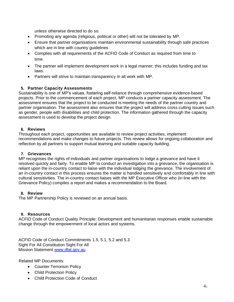unless otherwise directed to do so.

- Promoting any agenda (religious, political or other) will not be tolerated by MP.
- Ensure that partner organisations maintain environmental sustainability through safe practices which are in line with country guidelines
- Complies with all requirements of the ACFID Code of Conduct as required from time to time.
- The partner will implement development work in a legal manner; this includes funding and tax laws.
- Partners will strive to maintain transparency in all work with MP.

## **5. Partner Capacity Assessments**

Sustainability is one of MP's values, fostering self-reliance through comprehensive evidence-based projects. Prior to the commencement of each project, MP conducts a partner capacity assessment. The assessment ensures that the project to be conducted is meeting the needs of the partner country and partner organisation. The assessment also ensures that the project will address cross cutting issues such as gender, people with disabilities and child protection. The information gathered through the capacity assessment is used to develop the project design.

## **6. Reviews**

Throughout each project, opportunities are available to review project activities, implement recommendations and make changes to future projects. This review allows for ongoing collaboration and reflection by all partners to support mutual learning and suitable capacity building.

#### **7. Grievances**

MP recognises the rights of individuals and partner organisations to lodge a grievance and have it resolved quickly and fairly. To enable MP to conduct an investigation into a grievance, the organisation is reliant upon the in-country contact to liaise with the individual lodging the grievance. The involvement of an in-country contact in this process ensures the matter is handled sensitively and comfortably in line with cultural sensitivities. The in-country contact liaises with the MP Executive Officer who (in line with the Grievance Policy) compiles a report and makes a recommendation to the Board.

#### **8. Review**

The MP Partnership Policy is reviewed on an annual basis.

#### **9. Resources**

ACFID Code of Conduct Quality Principle: Development and humanitarian responses enable sustainable change through the empowerment of local actors and systems.

ACFID Code of Conduct Commitments 1.5, 5.1, 5.2 and 5.3 Sight For All Constitution Sight For All Mission Statement [www.dfat.gov.au](http://www.dfat.gov.au/)

Related MP Documents:

- Counter Terrorism Policy
- Child Protection Policy
- Child Protection Code of Conduct